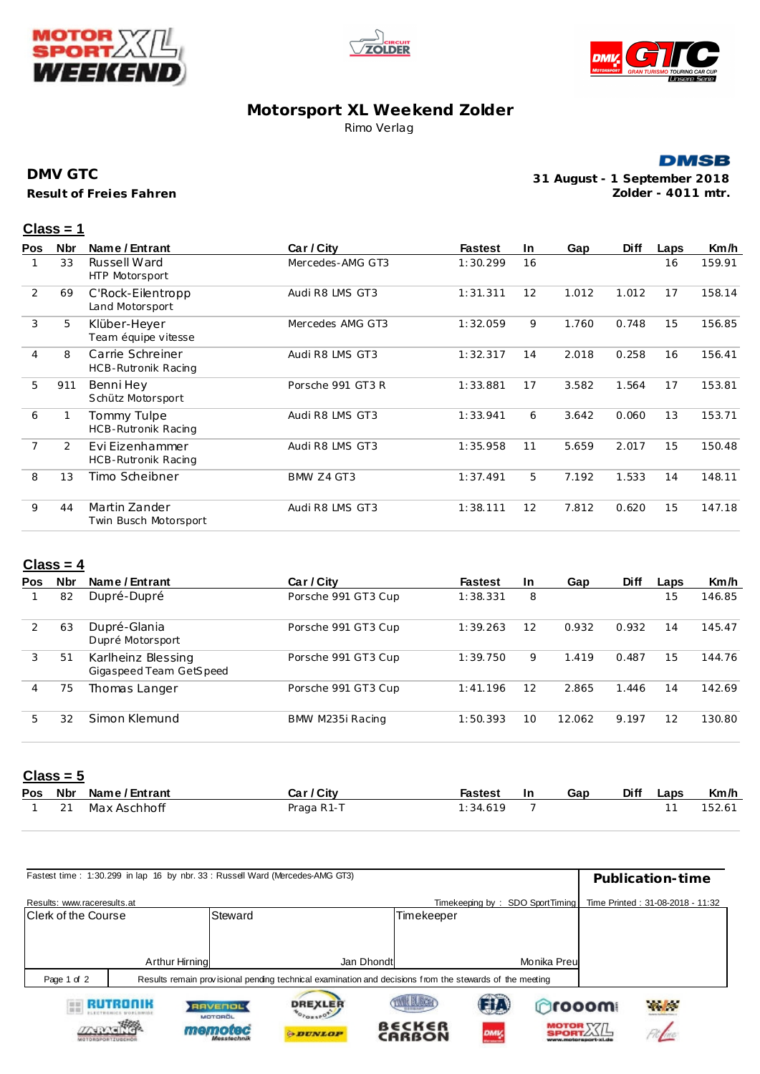





## **Motorsport XL Weekend Zolder** Rimo Verlag

#### **DMSB**

**Result of Freies Fahren DMV GTC**

**31 August - 1 September 2018 Zolder - 4011 mtr.**

#### **Class = 1**

| <b>Pos</b>     | <b>Nbr</b> | Name / Entrant                          | Car / City        | <b>Fastest</b> | In. | Gap   | <b>Diff</b> | Laps | Km/h   |
|----------------|------------|-----------------------------------------|-------------------|----------------|-----|-------|-------------|------|--------|
|                | 33         | Russell Ward<br>HTP Motorsport          | Mercedes-AMG GT3  | 1:30.299       | 16  |       |             | 16   | 159.91 |
| 2              | 69         | C'Rock-Eilentropp<br>Land Motorsport    | Audi R8 LMS GT3   | 1:31.311       | 12  | 1.012 | 1.012       | 17   | 158.14 |
| 3              | 5          | Klüber-Heyer<br>Team équipe vitesse     | Mercedes AMG GT3  | 1:32.059       | 9   | 1.760 | 0.748       | 15   | 156.85 |
| $\overline{4}$ | 8          | Carrie Schreiner<br>HCB-Rutronik Racing | Audi R8 LMS GT3   | 1:32.317       | 14  | 2.018 | 0.258       | 16   | 156.41 |
| 5              | 911        | Benni Hey<br>Schütz Motorsport          | Porsche 991 GT3 R | 1:33.881       | 17  | 3.582 | 1.564       | 17   | 153.81 |
| 6              |            | Tommy Tulpe<br>HCB-Rutronik Racing      | Audi R8 LMS GT3   | 1:33.941       | 6   | 3.642 | 0.060       | 13   | 153.71 |
| $\overline{7}$ | 2          | Evi Eizenhammer<br>HCB-Rutronik Racing  | Audi R8 LMS GT3   | 1:35.958       | 11  | 5.659 | 2.017       | 15   | 150.48 |
| 8              | 13         | Timo Scheibner                          | BMW Z4 GT3        | 1:37.491       | 5   | 7.192 | 1.533       | 14   | 148.11 |
| 9              | 44         | Martin Zander<br>Twin Busch Motorsport  | Audi R8 LMS GT3   | 1:38.111       | 12  | 7.812 | 0.620       | 15   | 147.18 |
|                |            |                                         |                   |                |     |       |             |      |        |

## **Class = 4**

| <b>Pos</b> | Nbr | Name / Entrant                                | Car / City          | <b>Fastest</b> | <b>In</b> | Gap    | <b>Diff</b> | Laps | Km/h   |
|------------|-----|-----------------------------------------------|---------------------|----------------|-----------|--------|-------------|------|--------|
|            | 82  | Dupré-Dupré                                   | Porsche 991 GT3 Cup | 1:38.331       | 8         |        |             | 15   | 146.85 |
| 2          | 63  | Dupré-Glania<br>Dupré Motorsport              | Porsche 991 GT3 Cup | 1:39.263       | 12        | 0.932  | 0.932       | 14   | 145.47 |
| 3          | 51  | Karlheinz Blessing<br>Gigaspeed Team GetSpeed | Porsche 991 GT3 Cup | 1:39.750       | 9         | 1.419  | 0.487       | 15   | 144.76 |
| 4          | 75  | Thomas Langer                                 | Porsche 991 GT3 Cup | 1:41.196       | 12        | 2.865  | 1.446       | 14   | 142.69 |
| 5          | 32  | Simon Klemund                                 | BMW M235i Racing    | 1:50.393       | 10        | 12.062 | 9.197       | 12   | 130.80 |

# **Class = 5**

|    | Pos Nbr Name/Entrant | Car / City | <b>Fastest</b> | -In | Gap | Diff | Laps | Km/h   |
|----|----------------------|------------|----------------|-----|-----|------|------|--------|
| 21 | Max Aschhoff         | Praga R1-T | 1:34.619       |     |     |      |      | 152.61 |

|                             | Fastest time: 1:30.299 in lap 16 by nbr. 33: Russell Ward (Mercedes-AMG GT3) |                                                 |                                                                                                         |                              |                 |                   |              | Publication-time                 |
|-----------------------------|------------------------------------------------------------------------------|-------------------------------------------------|---------------------------------------------------------------------------------------------------------|------------------------------|-----------------|-------------------|--------------|----------------------------------|
| Results: www.raceresults.at |                                                                              |                                                 |                                                                                                         |                              | Timekeeping by: | SDO SportTiming   |              | Time Printed: 31-08-2018 - 11:32 |
| <b>IClerk of the Course</b> |                                                                              | Steward                                         |                                                                                                         | Timekeeper                   |                 |                   |              |                                  |
|                             | Arthur Hirning                                                               |                                                 | Jan Dhondt                                                                                              |                              |                 | Monika Preul      |              |                                  |
| Page 1 of 2                 |                                                                              |                                                 | Results remain provisional pending technical examination and decisions from the stewards of the meeting |                              |                 |                   |              |                                  |
| <b>HILL</b>                 |                                                                              | <b>RAVENOL</b><br><b>MOTOROL</b><br>Messfechnik | <b>DREXLER</b><br><b>G.DUNLOP</b>                                                                       | IK BLOCK<br>B∈CK∈R<br>CARBON | 註<br><b>DMV</b> | <b>MOTOR XZIL</b> | <b>hooom</b> | $\mathcal{R}$ , $\mathcal{R}$    |